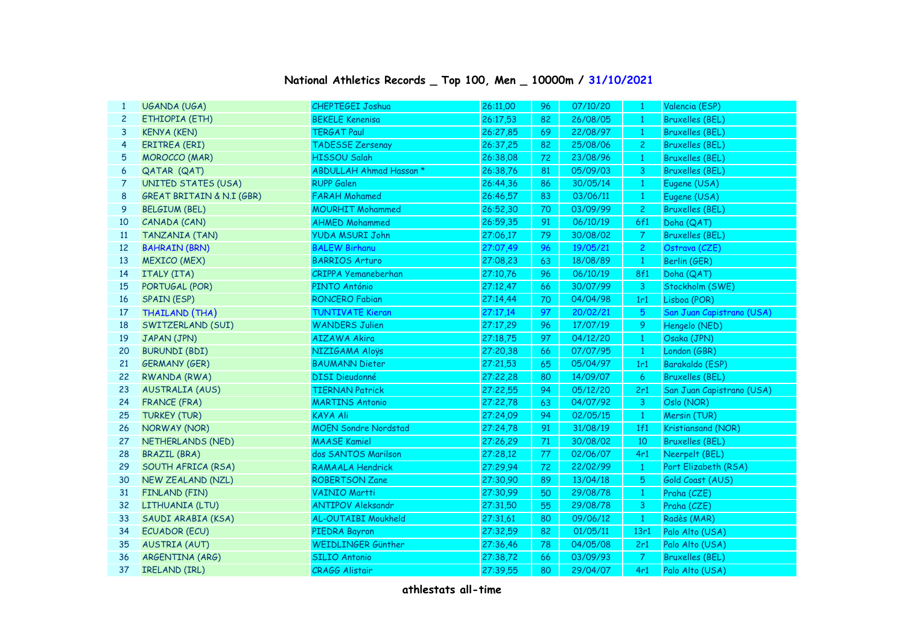| 1              | UGANDA (UGA)                         | CHEPTEGEI Joshua            | 26:11,00 | 96 | 07/10/20 | $\mathbf{1}$     | Valencia (ESP)            |
|----------------|--------------------------------------|-----------------------------|----------|----|----------|------------------|---------------------------|
| $\overline{c}$ | ETHIOPIA (ETH)                       | <b>BEKELE Kenenisa</b>      | 26:17,53 | 82 | 26/08/05 | $\mathbf{1}$     | <b>Bruxelles (BEL)</b>    |
| 3              | <b>KENYA (KEN)</b>                   | <b>TERGAT Paul</b>          | 26:27,85 | 69 | 22/08/97 | $\mathbf{1}$     | <b>Bruxelles (BEL)</b>    |
| 4              | <b>ERITREA (ERI)</b>                 | <b>TADESSE Zersenay</b>     | 26:37,25 | 82 | 25/08/06 | $\mathbf{2}$     | <b>Bruxelles (BEL)</b>    |
| 5              | <b>MOROCCO</b> (MAR)                 | HISSOU Salah                | 26:38,08 | 72 | 23/08/96 | $\mathbf{1}$     | <b>Bruxelles (BEL)</b>    |
| 6              | QATAR (QAT)                          | ABDULLAH Ahmad Hassan *     | 26:38.76 | 81 | 05/09/03 | $\mathbf{3}$     | <b>Bruxelles (BEL)</b>    |
| $\overline{7}$ | <b>UNITED STATES (USA)</b>           | <b>RUPP Galen</b>           | 26:44,36 | 86 | 30/05/14 | $\mathbf{1}$     | Eugene (USA)              |
| 8              | <b>GREAT BRITAIN &amp; N.I (GBR)</b> | <b>FARAH Mohamed</b>        | 26:46,57 | 83 | 03/06/11 | $\mathbf{1}$     | Eugene (USA)              |
| 9              | <b>BELGIUM (BEL)</b>                 | <b>MOURHIT Mohammed</b>     | 26:52,30 | 70 | 03/09/99 | $\overline{c}$   | <b>Bruxelles (BEL)</b>    |
| 10             | CANADA (CAN)                         | <b>AHMED Mohammed</b>       | 26:59,35 | 91 | 06/10/19 | 6f1              | Doha (QAT)                |
| 11             | <b>TANZANIA (TAN)</b>                | <b>YUDA MSURI John</b>      | 27:06,17 | 79 | 30/08/02 | $\boldsymbol{7}$ | <b>Bruxelles (BEL)</b>    |
| 12             | <b>BAHRAIN (BRN)</b>                 | <b>BALEW Birhanu</b>        | 27:07,49 | 96 | 19/05/21 | $\overline{2}$   | Ostrava (CZE)             |
| 13             | <b>MEXICO (MEX)</b>                  | <b>BARRIOS Arturo</b>       | 27:08,23 | 63 | 18/08/89 | $\mathbf{1}$     | Berlin (GER)              |
| 14             | ITALY (ITA)                          | <b>CRIPPA Yemaneberhan</b>  | 27:10,76 | 96 | 06/10/19 | <b>8f1</b>       | Doha (QAT)                |
| 15             | PORTUGAL (POR)                       | PINTO António               | 27:12,47 | 66 | 30/07/99 | $\mathbf{3}$     | Stockholm (SWE)           |
| 16             | <b>SPAIN (ESP)</b>                   | <b>RONCERO Fabian</b>       | 27:14,44 | 70 | 04/04/98 | 1r1              | Lisboa (POR)              |
| 17             | THAILAND (THA)                       | <b>TUNTIVATE Kieran</b>     | 27:17,14 | 97 | 20/02/21 | $5\phantom{.0}$  | San Juan Capistrano (USA) |
| 18             | SWITZERLAND (SUI)                    | <b>WANDERS Julien</b>       | 27:17,29 | 96 | 17/07/19 | 9                | Hengelo (NED)             |
| 19             | JAPAN (JPN)                          | <b>AIZAWA Akira</b>         | 27:18,75 | 97 | 04/12/20 | $\mathbf{1}$     | Osaka (JPN)               |
| 20             | <b>BURUNDI (BDI)</b>                 | NIZIGAMA Aloys              | 27:20,38 | 66 | 07/07/95 | $\mathbf{1}$     | London (GBR)              |
| 21             | <b>GERMANY (GER)</b>                 | <b>BAUMANN Dieter</b>       | 27:21,53 | 65 | 05/04/97 | 1r1              | Barakaldo (ESP)           |
| 22             | RWANDA (RWA)                         | <b>DISI Dieudonné</b>       | 27:22,28 | 80 | 14/09/07 | 6                | <b>Bruxelles (BEL)</b>    |
| 23             | <b>AUSTRALIA (AUS)</b>               | <b>TIERNAN Patrick</b>      | 27:22.55 | 94 | 05/12/20 | 2r1              | San Juan Capistrano (USA) |
| 24             | <b>FRANCE (FRA)</b>                  | <b>MARTINS Antonio</b>      | 27:22,78 | 63 | 04/07/92 | $\mathbf{3}$     | Oslo (NOR)                |
| 25             | <b>TURKEY (TUR)</b>                  | KAYA Ali                    | 27:24,09 | 94 | 02/05/15 | $\vert$ 1        | Mersin (TUR)              |
| 26             | NORWAY (NOR)                         | <b>MOEN Sondre Nordstad</b> | 27:24,78 | 91 | 31/08/19 | 1f1              | Kristiansand (NOR)        |
| 27             | NETHERLANDS (NED)                    | <b>MAASE Kamiel</b>         | 27:26,29 | 71 | 30/08/02 | 10               | <b>Bruxelles (BEL)</b>    |
| 28             | <b>BRAZIL (BRA)</b>                  | dos SANTOS Marilson         | 27:28,12 | 77 | 02/06/07 | 4r1              | Neerpelt (BEL)            |
| 29             | SOUTH AFRICA (RSA)                   | RAMAALA Hendrick            | 27:29,94 | 72 | 22/02/99 | $\mathbf{1}$     | Port Elizabeth (RSA)      |
| 30             | NEW ZEALAND (NZL)                    | <b>ROBERTSON Zane</b>       | 27:30,90 | 89 | 13/04/18 | $\sqrt{5}$       | Gold Coast (AUS)          |
| 31             | <b>FINLAND (FIN)</b>                 | <b>VAINIO Martti</b>        | 27:30,99 | 50 | 29/08/78 | $\mathbf{1}$     | Praha (CZE)               |
| 32             | LITHUANIA (LTU)                      | <b>ANTIPOV Aleksandr</b>    | 27:31,50 | 55 | 29/08/78 | 3                | Praha (CZE)               |
| 33             | SAUDI ARABIA (KSA)                   | AL-OUTAIBI Moukheld         | 27:31,61 | 80 | 09/06/12 | $\overline{1}$   | Radès (MAR)               |
| 34             | <b>ECUADOR (ECU)</b>                 | PIEDRA Bayron               | 27:32,59 | 82 | 01/05/11 | 13r1             | Palo Alto (USA)           |
| 35             | <b>AUSTRIA (AUT)</b>                 | WEIDLINGER Günther          | 27:36,46 | 78 | 04/05/08 | 2r1              | Palo Alto (USA)           |
| 36             | ARGENTINA (ARG)                      | <b>SILIO Antonio</b>        | 27:38,72 | 66 | 03/09/93 | $\mathcal{I}$    | <b>Bruxelles (BEL)</b>    |
| 37             | <b>IRELAND (IRL)</b>                 | <b>CRAGG Alistair</b>       | 27:39,55 | 80 | 29/04/07 | 4r1              | Palo Alto (USA)           |

## **National Athletics Records \_ Top 100, Men \_ 10000m / 31/10/2021**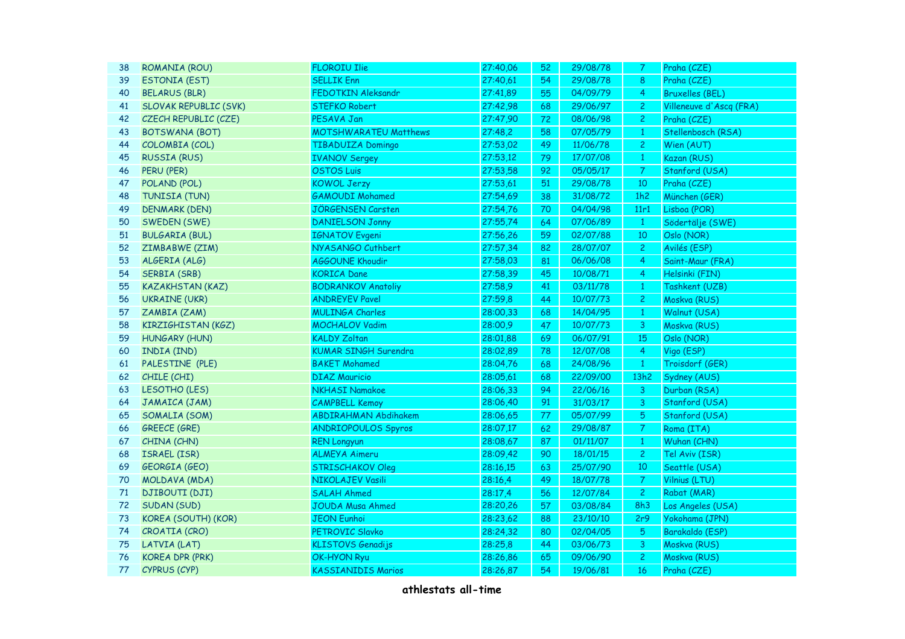| 38 | ROMANIA (ROU)                | <b>FLOROIU Ilie</b>          | 27:40,06 | 52 | 29/08/78 | 7.               | Praha (CZE)             |
|----|------------------------------|------------------------------|----------|----|----------|------------------|-------------------------|
| 39 | <b>ESTONIA (EST)</b>         | <b>SELLIK Enn</b>            | 27:40,61 | 54 | 29/08/78 | 8                | Praha (CZE)             |
| 40 | <b>BELARUS (BLR)</b>         | FEDOTKIN Aleksandr           | 27:41,89 | 55 | 04/09/79 | $\overline{4}$   | <b>Bruxelles (BEL)</b>  |
| 41 | <b>SLOVAK REPUBLIC (SVK)</b> | <b>STEFKO Robert</b>         | 27:42,98 | 68 | 29/06/97 | $\overline{c}$   | Villeneuve d'Ascq (FRA) |
| 42 | CZECH REPUBLIC (CZE)         | PESAVA Jan                   | 27:47,90 | 72 | 08/06/98 | $\overline{c}$   | Praha (CZE)             |
| 43 | <b>BOTSWANA (BOT)</b>        | <b>MOTSHWARATEU Matthews</b> | 27:48,2  | 58 | 07/05/79 | $\mathbf{1}$     | Stellenbosch (RSA)      |
| 44 | COLOMBIA (COL)               | <b>TIBADUIZA Domingo</b>     | 27:53,02 | 49 | 11/06/78 | $\mathbf{S}$     | Wien (AUT)              |
| 45 | <b>RUSSIA (RUS)</b>          | <b>IVANOV Sergey</b>         | 27:53,12 | 79 | 17/07/08 | $\mathbf{1}$     | Kazan (RUS)             |
| 46 | PERU (PER)                   | <b>OSTOS Luis</b>            | 27:53,58 | 92 | 05/05/17 | $\overline{7}$   | Stanford (USA)          |
| 47 | POLAND (POL)                 | <b>KOWOL Jerzy</b>           | 27:53,61 | 51 | 29/08/78 | $10$             | Praha (CZE)             |
| 48 | TUNISIA (TUN)                | <b>GAMOUDI Mohamed</b>       | 27:54,69 | 38 | 31/08/72 | 1h2              | München (GER)           |
| 49 | <b>DENMARK (DEN)</b>         | JÖRGENSEN Carsten            | 27:54,76 | 70 | 04/04/98 | 11r1             | Lisboa (POR)            |
| 50 | <b>SWEDEN (SWE)</b>          | <b>DANIELSON Jonny</b>       | 27:55,74 | 64 | 07/06/89 | $\overline{1}$   | Södertälje (SWE)        |
| 51 | <b>BULGARIA (BUL)</b>        | <b>IGNATOV</b> Evgeni        | 27:56,26 | 59 | 02/07/88 | $10$             | Oslo (NOR)              |
| 52 | ZIMBABWE (ZIM)               | NYASANGO Cuthbert            | 27:57,34 | 82 | 28/07/07 | $\mathbf{2}$     | Avilés (ESP)            |
| 53 | ALGERIA (ALG)                | AGGOUNE Khoudir              | 27:58,03 | 81 | 06/06/08 | $\overline{4}$   | Saint-Maur (FRA)        |
| 54 | <b>SERBIA (SRB)</b>          | <b>KORICA Dane</b>           | 27:58,39 | 45 | 10/08/71 | 4                | Helsinki (FIN)          |
| 55 | <b>KAZAKHSTAN (KAZ)</b>      | <b>BODRANKOV Anatoliy</b>    | 27:58,9  | 41 | 03/11/78 | $\mathbf{1}$     | Tashkent (UZB)          |
| 56 | <b>UKRAINE (UKR)</b>         | <b>ANDREYEV Pavel</b>        | 27:59,8  | 44 | 10/07/73 | $\overline{c}$   | Moskva (RUS)            |
| 57 | ZAMBIA (ZAM)                 | <b>MULINGA Charles</b>       | 28:00,33 | 68 | 14/04/95 | $\mathbf{1}$     | Walnut (USA)            |
| 58 | KIRZIGHISTAN (KGZ)           | <b>MOCHALOV Vadim</b>        | 28:00,9  | 47 | 10/07/73 | 3                | Moskva (RUS)            |
| 59 | <b>HUNGARY (HUN)</b>         | <b>KALDY Zoltan</b>          | 28:01,88 | 69 | 06/07/91 | 15               | Oslo (NOR)              |
| 60 | INDIA (IND)                  | <b>KUMAR SINGH Surendra</b>  | 28:02,89 | 78 | 12/07/08 | $\overline{4}$   | Vigo (ESP)              |
| 61 | PALESTINE (PLE)              | <b>BAKET Mohamed</b>         | 28:04,76 | 68 | 24/08/96 | $\mathbf{1}$     | Troisdorf (GER)         |
| 62 | CHILE (CHI)                  | <b>DIAZ Mauricio</b>         | 28:05,61 | 68 | 22/09/00 | 13h2             | Sydney (AUS)            |
| 63 | LESOTHO (LES)                | <b>NKHASI Namakoe</b>        | 28:06,33 | 94 | 22/06/16 | 3                | Durban (RSA)            |
| 64 | JAMAICA (JAM)                | <b>CAMPBELL Kemoy</b>        | 28:06,40 | 91 | 31/03/17 | 3                | Stanford (USA)          |
| 65 | SOMALIA (SOM)                | <b>ABDIRAHMAN Abdihakem</b>  | 28:06,65 | 77 | 05/07/99 | 5                | Stanford (USA)          |
| 66 | <b>GREECE (GRE)</b>          | <b>ANDRIOPOULOS Spyros</b>   | 28:07,17 | 62 | 29/08/87 | $\boldsymbol{7}$ | Roma (ITA)              |
| 67 | CHINA (CHN)                  | <b>REN Longyun</b>           | 28:08,67 | 87 | 01/11/07 | $\mathbf{1}$     | Wuhan (CHN)             |
| 68 | ISRAEL (ISR)                 | <b>ALMEYA Aimeru</b>         | 28:09,42 | 90 | 18/01/15 | $\overline{c}$   | Tel Aviv (ISR)          |
| 69 | GEORGIA (GEO)                | <b>STRISCHAKOV Oleg</b>      | 28:16,15 | 63 | 25/07/90 | 10               | Seattle (USA)           |
| 70 | MOLDAVA (MDA)                | NIKOLAJEV Vasili             | 28:16,4  | 49 | 18/07/78 | $\overline{7}$   | Vilnius (LTU)           |
| 71 | <b>DJIBOUTI (DJI)</b>        | <b>SALAH Ahmed</b>           | 28:17,4  | 56 | 12/07/84 | $\overline{2}$   | Rabat (MAR)             |
| 72 | SUDAN (SUD)                  | JOUDA Musa Ahmed             | 28:20,26 | 57 | 03/08/84 | 8h3              | Los Angeles (USA)       |
| 73 | KOREA (SOUTH) (KOR)          | <b>JEON Eunhoi</b>           | 28:23,62 | 88 | 23/10/10 | 2r9              | Yokohama (JPN)          |
| 74 | CROATIA (CRO)                | PETROVIC Slavko              | 28:24,32 | 80 | 02/04/05 | 5                | Barakaldo (ESP)         |
| 75 | LATVIA (LAT)                 | <b>KLISTOVS Genadijs</b>     | 28:25,8  | 44 | 03/06/73 | 3                | Moskva (RUS)            |
| 76 | <b>KOREA DPR (PRK)</b>       | OK-HYON Ryu                  | 28:26,86 | 65 | 09/06/90 | $\overline{c}$   | Moskva (RUS)            |
| 77 | CYPRUS (CYP)                 | <b>KASSIANIDIS Marios</b>    | 28:26,87 | 54 | 19/06/81 | 16               | Praha (CZE)             |